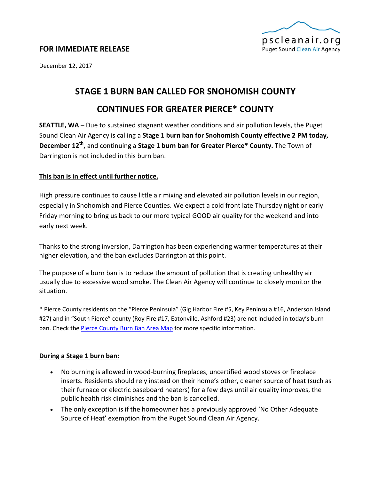

### **FOR IMMEDIATE RELEASE**

December 12, 2017

# **STAGE 1 BURN BAN CALLED FOR SNOHOMISH COUNTY**

## **CONTINUES FOR GREATER PIERCE\* COUNTY**

**SEATTLE, WA** – Due to sustained stagnant weather conditions and air pollution levels, the Puget Sound Clean Air Agency is calling a **Stage 1 burn ban for Snohomish County effective 2 PM today, December 12th,** and continuing a **Stage 1 burn ban for Greater Pierce\* County.** The Town of Darrington is not included in this burn ban.

#### **This ban is in effect until further notice.**

High pressure continues to cause little air mixing and elevated air pollution levels in our region, especially in Snohomish and Pierce Counties. We expect a cold front late Thursday night or early Friday morning to bring us back to our more typical GOOD air quality for the weekend and into early next week.

Thanks to the strong inversion, Darrington has been experiencing warmer temperatures at their higher elevation, and the ban excludes Darrington at this point.

The purpose of a burn ban is to reduce the amount of pollution that is creating unhealthy air usually due to excessive wood smoke. The Clean Air Agency will continue to closely monitor the situation.

\* Pierce County residents on the "Pierce Peninsula" (Gig Harbor Fire #5, Key Peninsula #16, Anderson Island #27) and in "South Pierce" county (Roy Fire #17, Eatonville, Ashford #23) are not included in today's burn ban. Check th[e Pierce County Burn Ban Area Map](https://www.google.com/maps/d/viewer?mid=zmvqFrfm-cro.kweEx2mXIOyE) for more specific information.

#### **During a Stage 1 burn ban:**

- No burning is allowed in wood-burning fireplaces, uncertified wood stoves or fireplace inserts. Residents should rely instead on their home's other, cleaner source of heat (such as their furnace or electric baseboard heaters) for a few days until air quality improves, the public health risk diminishes and the ban is cancelled.
- The only exception is if the homeowner has a previously approved 'No Other Adequate Source of Heat' exemption from the Puget Sound Clean Air Agency.